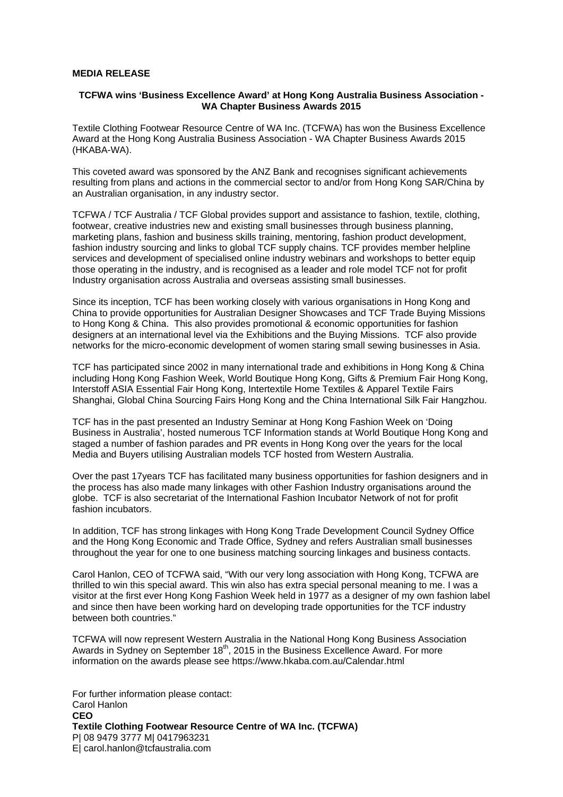## **MEDIA RELEASE**

## **TCFWA wins 'Business Excellence Award' at Hong Kong Australia Business Association - WA Chapter Business Awards 2015**

Textile Clothing Footwear Resource Centre of WA Inc. (TCFWA) has won the Business Excellence Award at the Hong Kong Australia Business Association - WA Chapter Business Awards 2015 (HKABA-WA).

This coveted award was sponsored by the ANZ Bank and recognises significant achievements resulting from plans and actions in the commercial sector to and/or from Hong Kong SAR/China by an Australian organisation, in any industry sector.

TCFWA / TCF Australia / TCF Global provides support and assistance to fashion, textile, clothing, footwear, creative industries new and existing small businesses through business planning, marketing plans, fashion and business skills training, mentoring, fashion product development, fashion industry sourcing and links to global TCF supply chains. TCF provides member helpline services and development of specialised online industry webinars and workshops to better equip those operating in the industry, and is recognised as a leader and role model TCF not for profit Industry organisation across Australia and overseas assisting small businesses.

Since its inception, TCF has been working closely with various organisations in Hong Kong and China to provide opportunities for Australian Designer Showcases and TCF Trade Buying Missions to Hong Kong & China. This also provides promotional & economic opportunities for fashion designers at an international level via the Exhibitions and the Buying Missions. TCF also provide networks for the micro-economic development of women staring small sewing businesses in Asia.

TCF has participated since 2002 in many international trade and exhibitions in Hong Kong & China including Hong Kong Fashion Week, World Boutique Hong Kong, Gifts & Premium Fair Hong Kong, Interstoff ASIA Essential Fair Hong Kong, Intertextile Home Textiles & Apparel Textile Fairs Shanghai, Global China Sourcing Fairs Hong Kong and the China International Silk Fair Hangzhou.

TCF has in the past presented an Industry Seminar at Hong Kong Fashion Week on 'Doing Business in Australia', hosted numerous TCF Information stands at World Boutique Hong Kong and staged a number of fashion parades and PR events in Hong Kong over the years for the local Media and Buyers utilising Australian models TCF hosted from Western Australia.

Over the past 17years TCF has facilitated many business opportunities for fashion designers and in the process has also made many linkages with other Fashion Industry organisations around the globe. TCF is also secretariat of the International Fashion Incubator Network of not for profit fashion incubators.

In addition, TCF has strong linkages with Hong Kong Trade Development Council Sydney Office and the Hong Kong Economic and Trade Office, Sydney and refers Australian small businesses throughout the year for one to one business matching sourcing linkages and business contacts.

Carol Hanlon, CEO of TCFWA said, "With our very long association with Hong Kong, TCFWA are thrilled to win this special award. This win also has extra special personal meaning to me. I was a visitor at the first ever Hong Kong Fashion Week held in 1977 as a designer of my own fashion label and since then have been working hard on developing trade opportunities for the TCF industry between both countries."

TCFWA will now represent Western Australia in the National Hong Kong Business Association Awards in Sydney on September  $18<sup>th</sup>$ , 2015 in the Business Excellence Award. For more information on the awards please see https://www.hkaba.com.au/Calendar.html

For further information please contact: Carol Hanlon **CEO Textile Clothing Footwear Resource Centre of WA Inc. (TCFWA)**  P| 08 9479 3777 M| 0417963231 E| carol.hanlon@tcfaustralia.com